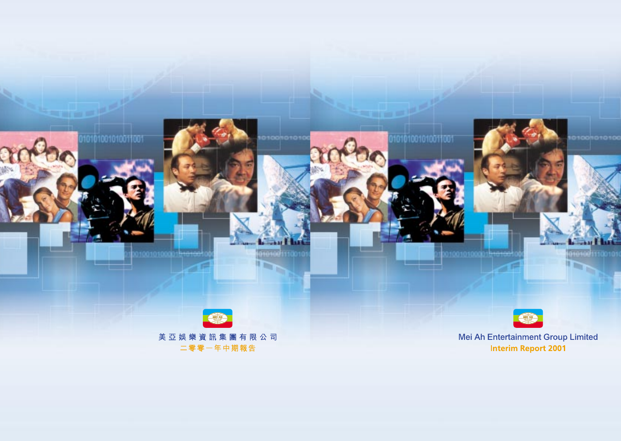

67676 h 

010101001010011001

Mei Ah Entertainment Group Limited **Interim Report 2001**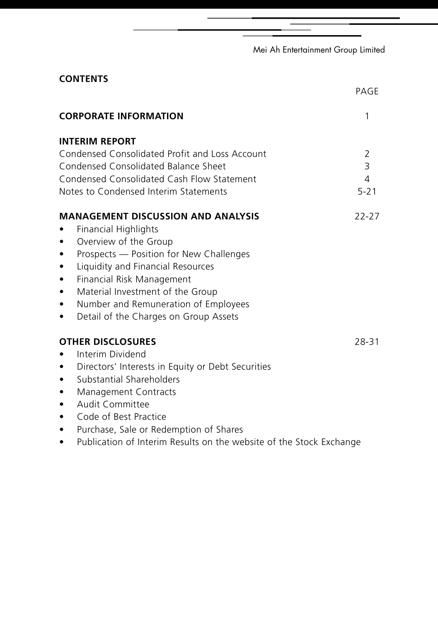|  | Mei Ah Entertainment Group Limited |  |  |
|--|------------------------------------|--|--|
|--|------------------------------------|--|--|

| <b>CONTENTS</b>                                                     |           |
|---------------------------------------------------------------------|-----------|
|                                                                     | PAGE      |
| <b>CORPORATE INFORMATION</b>                                        | 1         |
| <b>INTERIM REPORT</b>                                               |           |
| Condensed Consolidated Profit and Loss Account                      | 2         |
| Condensed Consolidated Balance Sheet                                | 3         |
| Condensed Consolidated Cash Flow Statement                          | 4         |
| Notes to Condensed Interim Statements                               | $5 - 21$  |
| <b>MANAGEMENT DISCUSSION AND ANALYSIS</b>                           | $22 - 27$ |
| <b>Financial Highlights</b>                                         |           |
| Overview of the Group                                               |           |
| Prospects - Position for New Challenges<br>٠                        |           |
| Liquidity and Financial Resources<br>٠                              |           |
| Financial Risk Management<br>٠                                      |           |
| Material Investment of the Group                                    |           |
| Number and Remuneration of Employees<br>٠                           |           |
| Detail of the Charges on Group Assets<br>٠                          |           |
| <b>OTHER DISCLOSURES</b>                                            | 28-31     |
| Interim Dividend                                                    |           |
| Directors' Interests in Equity or Debt Securities<br>$\bullet$      |           |
| Substantial Shareholders                                            |           |
| Management Contracts<br>٠                                           |           |
| Audit Committee<br>٠                                                |           |
| Code of Best Practice<br>$\bullet$                                  |           |
| Purchase, Sale or Redemption of Shares<br>$\bullet$                 |           |
| Publication of Interim Results on the website of the Stock Exchange |           |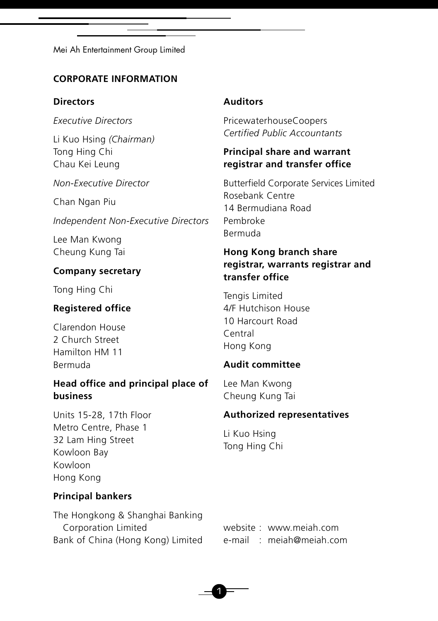### **CORPORATE INFORMATION**

### **Directors**

*Executive Directors*

Li Kuo Hsing *(Chairman)* Tong Hing Chi Chau Kei Leung

*Non-Executive Director*

Chan Ngan Piu

*Independent Non-Executive Directors*

Lee Man Kwong Cheung Kung Tai

# **Company secretary**

Tong Hing Chi

# **Registered office**

Clarendon House 2 Church Street Hamilton HM 11 Bermuda

# **Head office and principal place of business**

Units 15-28, 17th Floor Metro Centre, Phase 1 32 Lam Hing Street Kowloon Bay Kowloon Hong Kong

# **Principal bankers**

The Hongkong & Shanghai Banking Corporation Limited Bank of China (Hong Kong) Limited

### **Auditors**

PricewaterhouseCoopers *Certified Public Accountants*

### **Principal share and warrant registrar and transfer office**

Butterfield Corporate Services Limited Rosebank Centre 14 Bermudiana Road Pembroke Bermuda

# **Hong Kong branch share registrar, warrants registrar and transfer office**

Tengis Limited 4/F Hutchison House 10 Harcourt Road Central Hong Kong

# **Audit committee**

Lee Man Kwong Cheung Kung Tai

### **Authorized representatives**

Li Kuo Hsing Tong Hing Chi

website : www.meiah.com e-mail : meiah@meiah.com

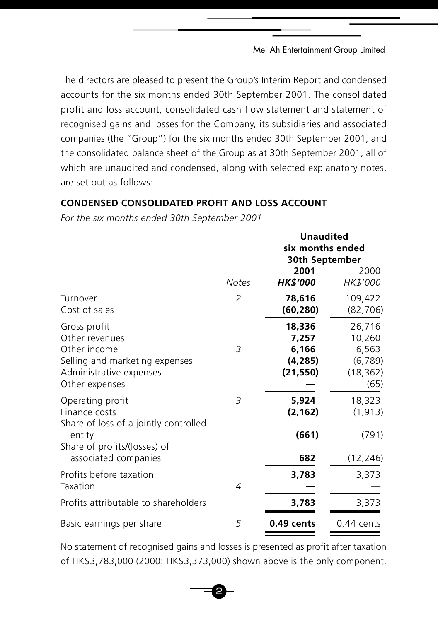The directors are pleased to present the Group's Interim Report and condensed accounts for the six months ended 30th September 2001. The consolidated profit and loss account, consolidated cash flow statement and statement of recognised gains and losses for the Company, its subsidiaries and associated companies (the "Group") for the six months ended 30th September 2001, and the consolidated balance sheet of the Group as at 30th September 2001, all of which are unaudited and condensed, along with selected explanatory notes, are set out as follows:

# **CONDENSED CONSOLIDATED PROFIT AND LOSS ACCOUNT**

*For the six months ended 30th September 2001*

|                                                                                                                               |                | <b>Unaudited</b><br>six months ended<br>30th September |                                                           |
|-------------------------------------------------------------------------------------------------------------------------------|----------------|--------------------------------------------------------|-----------------------------------------------------------|
|                                                                                                                               | <b>Notes</b>   | 2001<br><b>HK\$'000</b>                                | 2000<br>HK\$'000                                          |
| Turnover<br>Cost of sales                                                                                                     | $\overline{2}$ | 78,616<br>(60, 280)                                    | 109,422<br>(82, 706)                                      |
| Gross profit<br>Other revenues<br>Other income<br>Selling and marketing expenses<br>Administrative expenses<br>Other expenses | 3              | 18,336<br>7.257<br>6,166<br>(4,285)<br>(21, 550)       | 26,716<br>10,260<br>6,563<br>(6,789)<br>(18, 362)<br>(65) |
| Operating profit<br>Finance costs<br>Share of loss of a jointly controlled                                                    | 3              | 5,924<br>(2, 162)                                      | 18,323<br>(1, 913)                                        |
| entity<br>Share of profits/(losses) of<br>associated companies                                                                |                | (661)<br>682                                           | (791)<br>(12, 246)                                        |
| Profits before taxation<br>Taxation                                                                                           | $\overline{A}$ | 3,783                                                  | 3,373                                                     |
| Profits attributable to shareholders                                                                                          |                | 3,783                                                  | 3,373                                                     |
| Basic earnings per share                                                                                                      | 5              | $0.49$ cents                                           | $0.44$ cents                                              |

No statement of recognised gains and losses is presented as profit after taxation of HK\$3,783,000 (2000: HK\$3,373,000) shown above is the only component.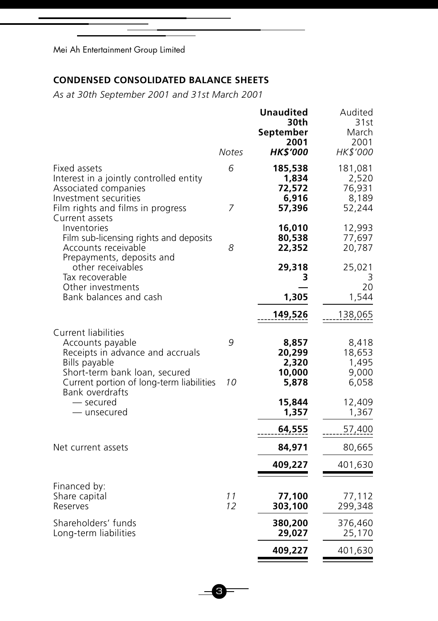# **CONDENSED CONSOLIDATED BALANCE SHEETS**

*As at 30th September 2001 and 31st March 2001*

| <b>HK\$'000</b><br>HK\$'000<br>Notes<br>6<br>181,081<br>Fixed assets<br>185,538<br>Interest in a jointly controlled entity<br>1,834<br>72,572<br>76,931<br>Associated companies<br>Investment securities<br>6,916<br>7<br>57,396<br>52,244<br>Film rights and films in progress<br>Current assets<br>12,993<br>Inventories<br>16,010<br>Film sub-licensing rights and deposits<br>80,538<br>77,697<br>8<br>Accounts receivable<br>22,352<br>20,787<br>Prepayments, deposits and<br>other receivables<br>29,318<br>25,021<br>Tax recoverable<br>3<br>Other investments<br>Bank balances and cash<br>1,305<br>149,526<br>138,065<br>Current liabilities<br>9<br>Accounts payable<br>8,857<br>Receipts in advance and accruals<br>20,299<br>18,653<br>Bills payable<br>2,320<br>Short-term bank loan, secured<br>10,000<br>10<br>Current portion of long-term liabilities<br>5,878<br>6,058<br>Bank overdrafts<br>12,409<br>— secured<br>15,844 | 2,520<br>8,189          |
|----------------------------------------------------------------------------------------------------------------------------------------------------------------------------------------------------------------------------------------------------------------------------------------------------------------------------------------------------------------------------------------------------------------------------------------------------------------------------------------------------------------------------------------------------------------------------------------------------------------------------------------------------------------------------------------------------------------------------------------------------------------------------------------------------------------------------------------------------------------------------------------------------------------------------------------------|-------------------------|
|                                                                                                                                                                                                                                                                                                                                                                                                                                                                                                                                                                                                                                                                                                                                                                                                                                                                                                                                              |                         |
|                                                                                                                                                                                                                                                                                                                                                                                                                                                                                                                                                                                                                                                                                                                                                                                                                                                                                                                                              |                         |
|                                                                                                                                                                                                                                                                                                                                                                                                                                                                                                                                                                                                                                                                                                                                                                                                                                                                                                                                              |                         |
|                                                                                                                                                                                                                                                                                                                                                                                                                                                                                                                                                                                                                                                                                                                                                                                                                                                                                                                                              |                         |
|                                                                                                                                                                                                                                                                                                                                                                                                                                                                                                                                                                                                                                                                                                                                                                                                                                                                                                                                              | 3<br>20                 |
|                                                                                                                                                                                                                                                                                                                                                                                                                                                                                                                                                                                                                                                                                                                                                                                                                                                                                                                                              | 1,544                   |
|                                                                                                                                                                                                                                                                                                                                                                                                                                                                                                                                                                                                                                                                                                                                                                                                                                                                                                                                              |                         |
|                                                                                                                                                                                                                                                                                                                                                                                                                                                                                                                                                                                                                                                                                                                                                                                                                                                                                                                                              |                         |
|                                                                                                                                                                                                                                                                                                                                                                                                                                                                                                                                                                                                                                                                                                                                                                                                                                                                                                                                              | 8,418<br>1,495<br>9,000 |
|                                                                                                                                                                                                                                                                                                                                                                                                                                                                                                                                                                                                                                                                                                                                                                                                                                                                                                                                              |                         |
| 1,357<br>— unsecured                                                                                                                                                                                                                                                                                                                                                                                                                                                                                                                                                                                                                                                                                                                                                                                                                                                                                                                         | 1,367                   |
| 57,400<br>64,555                                                                                                                                                                                                                                                                                                                                                                                                                                                                                                                                                                                                                                                                                                                                                                                                                                                                                                                             |                         |
| Net current assets<br>84,971<br>80,665                                                                                                                                                                                                                                                                                                                                                                                                                                                                                                                                                                                                                                                                                                                                                                                                                                                                                                       |                         |
| 401,630<br>409,227                                                                                                                                                                                                                                                                                                                                                                                                                                                                                                                                                                                                                                                                                                                                                                                                                                                                                                                           |                         |
|                                                                                                                                                                                                                                                                                                                                                                                                                                                                                                                                                                                                                                                                                                                                                                                                                                                                                                                                              |                         |
| Financed by:<br>Share capital<br>11<br>77,100<br>77,112<br>12<br>303,100<br>Reserves<br>299,348                                                                                                                                                                                                                                                                                                                                                                                                                                                                                                                                                                                                                                                                                                                                                                                                                                              |                         |
| Shareholders' funds<br>380,200<br>376,460<br>Long-term liabilities<br>29,027<br>25,170                                                                                                                                                                                                                                                                                                                                                                                                                                                                                                                                                                                                                                                                                                                                                                                                                                                       |                         |
| 409,227<br>401,630                                                                                                                                                                                                                                                                                                                                                                                                                                                                                                                                                                                                                                                                                                                                                                                                                                                                                                                           |                         |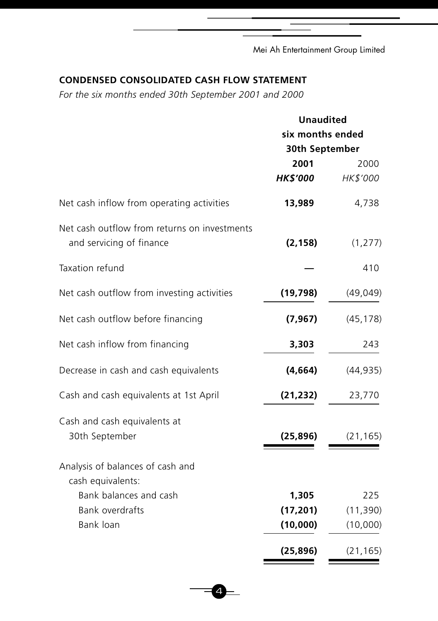# **CONDENSED CONSOLIDATED CASH FLOW STATEMENT**

*For the six months ended 30th September 2001 and 2000*

|                                                                          | <b>Unaudited</b><br>six months ended<br>30th September |           |  |
|--------------------------------------------------------------------------|--------------------------------------------------------|-----------|--|
|                                                                          |                                                        |           |  |
|                                                                          |                                                        |           |  |
|                                                                          | 2001                                                   | 2000      |  |
|                                                                          | <b>HK\$'000</b>                                        | HK\$'000  |  |
| Net cash inflow from operating activities                                | 13,989                                                 | 4,738     |  |
| Net cash outflow from returns on investments<br>and servicing of finance | (2, 158)                                               | (1, 277)  |  |
| Taxation refund                                                          |                                                        | 410       |  |
| Net cash outflow from investing activities                               | (19, 798)                                              | (49, 049) |  |
| Net cash outflow before financing                                        | (7, 967)                                               | (45, 178) |  |
| Net cash inflow from financing                                           | 3,303                                                  | 243       |  |
| Decrease in cash and cash equivalents                                    | (4,664)                                                | (44, 935) |  |
| Cash and cash equivalents at 1st April                                   | (21, 232)                                              | 23,770    |  |
| Cash and cash equivalents at<br>30th September                           | (25, 896)                                              | (21, 165) |  |
| Analysis of balances of cash and<br>cash equivalents:                    |                                                        |           |  |
| Bank balances and cash                                                   | 1,305                                                  | 225       |  |
| <b>Bank overdrafts</b>                                                   | (17, 201)                                              | (11, 390) |  |
| Bank loan                                                                | (10,000)                                               | (10,000)  |  |
|                                                                          | (25, 896)                                              | (21, 165) |  |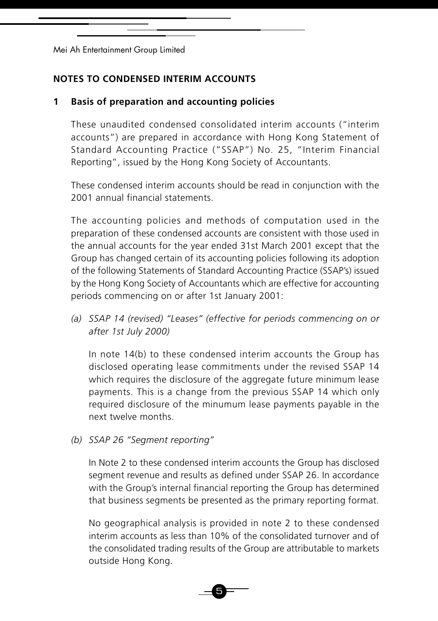# **NOTES TO CONDENSED INTERIM ACCOUNTS**

# **1 Basis of preparation and accounting policies**

These unaudited condensed consolidated interim accounts ("interim accounts") are prepared in accordance with Hong Kong Statement of Standard Accounting Practice ("SSAP") No. 25, "Interim Financial Reporting", issued by the Hong Kong Society of Accountants.

These condensed interim accounts should be read in conjunction with the 2001 annual financial statements.

The accounting policies and methods of computation used in the preparation of these condensed accounts are consistent with those used in the annual accounts for the year ended 31st March 2001 except that the Group has changed certain of its accounting policies following its adoption of the following Statements of Standard Accounting Practice (SSAP's) issued by the Hong Kong Society of Accountants which are effective for accounting periods commencing on or after 1st January 2001:

*(a) SSAP 14 (revised) "Leases" (effective for periods commencing on or after 1st July 2000)*

In note 14(b) to these condensed interim accounts the Group has disclosed operating lease commitments under the revised SSAP 14 which requires the disclosure of the aggregate future minimum lease payments. This is a change from the previous SSAP 14 which only required disclosure of the minumum lease payments payable in the next twelve months.

### *(b) SSAP 26 "Segment reporting"*

In Note 2 to these condensed interim accounts the Group has disclosed segment revenue and results as defined under SSAP 26. In accordance with the Group's internal financial reporting the Group has determined that business segments be presented as the primary reporting format.

No geographical analysis is provided in note 2 to these condensed interim accounts as less than 10% of the consolidated turnover and of the consolidated trading results of the Group are attributable to markets outside Hong Kong.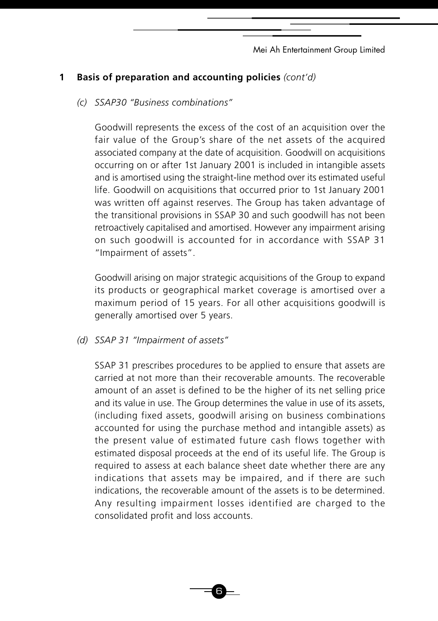# **1 Basis of preparation and accounting policies** *(cont'd)*

*(c) SSAP30 "Business combinations"*

Goodwill represents the excess of the cost of an acquisition over the fair value of the Group's share of the net assets of the acquired associated company at the date of acquisition. Goodwill on acquisitions occurring on or after 1st January 2001 is included in intangible assets and is amortised using the straight-line method over its estimated useful life. Goodwill on acquisitions that occurred prior to 1st January 2001 was written off against reserves. The Group has taken advantage of the transitional provisions in SSAP 30 and such goodwill has not been retroactively capitalised and amortised. However any impairment arising on such goodwill is accounted for in accordance with SSAP 31 "Impairment of assets".

Goodwill arising on major strategic acquisitions of the Group to expand its products or geographical market coverage is amortised over a maximum period of 15 years. For all other acquisitions goodwill is generally amortised over 5 years.

*(d) SSAP 31 "Impairment of assets"*

SSAP 31 prescribes procedures to be applied to ensure that assets are carried at not more than their recoverable amounts. The recoverable amount of an asset is defined to be the higher of its net selling price and its value in use. The Group determines the value in use of its assets, (including fixed assets, goodwill arising on business combinations accounted for using the purchase method and intangible assets) as the present value of estimated future cash flows together with estimated disposal proceeds at the end of its useful life. The Group is required to assess at each balance sheet date whether there are any indications that assets may be impaired, and if there are such indications, the recoverable amount of the assets is to be determined. Any resulting impairment losses identified are charged to the consolidated profit and loss accounts.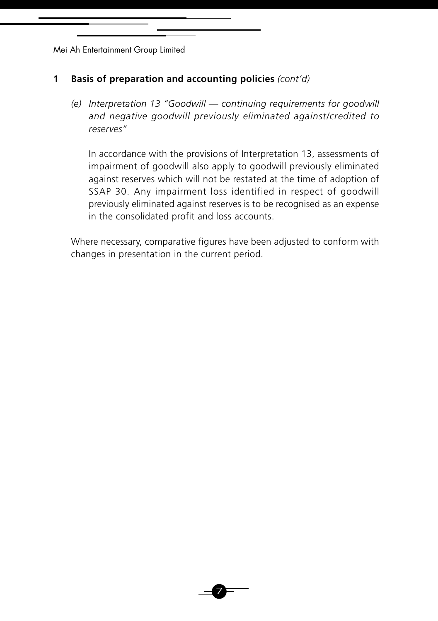# **1 Basis of preparation and accounting policies** *(cont'd)*

*(e) Interpretation 13 "Goodwill — continuing requirements for goodwill and negative goodwill previously eliminated against/credited to reserves"*

In accordance with the provisions of Interpretation 13, assessments of impairment of goodwill also apply to goodwill previously eliminated against reserves which will not be restated at the time of adoption of SSAP 30. Any impairment loss identified in respect of goodwill previously eliminated against reserves is to be recognised as an expense in the consolidated profit and loss accounts.

Where necessary, comparative figures have been adjusted to conform with changes in presentation in the current period.

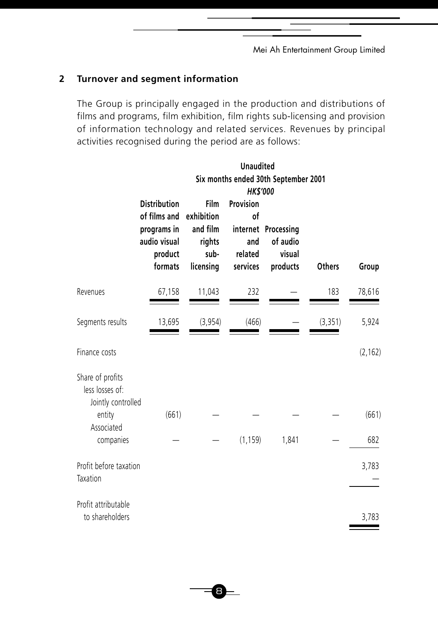# **2 Turnover and segment information**

The Group is principally engaged in the production and distributions of films and programs, film exhibition, film rights sub-licensing and provision of information technology and related services. Revenues by principal activities recognised during the period are as follows:

|                                                                                                |                                                                                          |                                                               | <b>Unaudited</b><br><b>HK\$'000</b>           | Six months ended 30th September 2001                  |               |              |
|------------------------------------------------------------------------------------------------|------------------------------------------------------------------------------------------|---------------------------------------------------------------|-----------------------------------------------|-------------------------------------------------------|---------------|--------------|
|                                                                                                | <b>Distribution</b><br>of films and<br>programs in<br>audio visual<br>product<br>formats | Film<br>exhibition<br>and film<br>rights<br>sub-<br>licensing | Provision<br>of<br>and<br>related<br>services | internet Processing<br>of audio<br>visual<br>products | <b>Others</b> | Group        |
| Revenues                                                                                       | 67,158                                                                                   | 11,043                                                        | 232                                           |                                                       | 183           | 78,616       |
| Segments results                                                                               | 13,695                                                                                   | (3, 954)                                                      | (466)                                         |                                                       | (3, 351)      | 5,924        |
| Finance costs                                                                                  |                                                                                          |                                                               |                                               |                                                       |               | (2, 162)     |
| Share of profits<br>less losses of:<br>Jointly controlled<br>entity<br>Associated<br>companies | (661)                                                                                    |                                                               | (1, 159)                                      | 1,841                                                 |               | (661)<br>682 |
| Profit before taxation<br>Taxation                                                             |                                                                                          |                                                               |                                               |                                                       |               | 3,783        |
| Profit attributable<br>to shareholders                                                         |                                                                                          |                                                               |                                               |                                                       |               | 3,783        |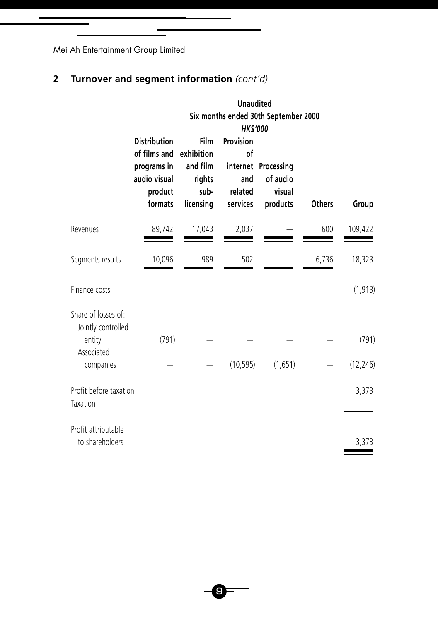# **2 Turnover and segment information** *(cont'd)*

|                                                                                |                                                                                          |                                                               | <b>Unaudited</b>                                                 | Six months ended 30th September 2000                  |               |                    |
|--------------------------------------------------------------------------------|------------------------------------------------------------------------------------------|---------------------------------------------------------------|------------------------------------------------------------------|-------------------------------------------------------|---------------|--------------------|
|                                                                                | <b>Distribution</b><br>of films and<br>programs in<br>audio visual<br>product<br>formats | Film<br>exhibition<br>and film<br>rights<br>sub-<br>licensing | <b>HK\$'000</b><br>Provision<br>of<br>and<br>related<br>services | internet Processing<br>of audio<br>visual<br>products | <b>Others</b> | Group              |
| Revenues                                                                       | 89,742                                                                                   | 17,043                                                        | 2,037                                                            |                                                       | 600           | 109,422            |
| Segments results                                                               | 10,096                                                                                   | 989                                                           | 502                                                              |                                                       | 6,736         | 18,323             |
| Finance costs                                                                  |                                                                                          |                                                               |                                                                  |                                                       |               | (1, 913)           |
| Share of losses of:<br>Jointly controlled<br>entity<br>Associated<br>companies | (791)                                                                                    |                                                               | (10, 595)                                                        | (1,651)                                               |               | (791)<br>(12, 246) |
| Profit before taxation<br>Taxation                                             |                                                                                          |                                                               |                                                                  |                                                       |               | 3,373              |
| Profit attributable<br>to shareholders                                         |                                                                                          |                                                               |                                                                  |                                                       |               | 3,373              |

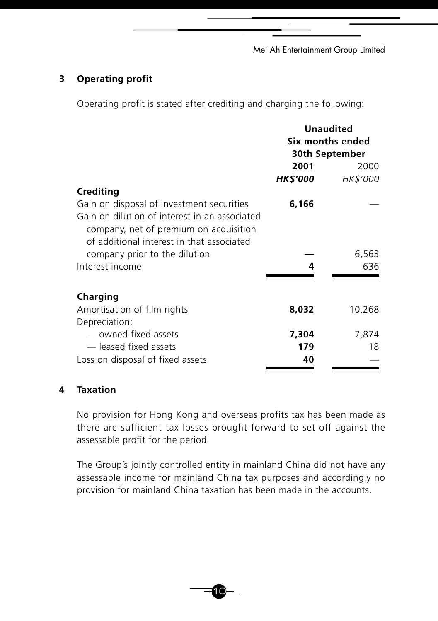# **3 Operating profit**

Operating profit is stated after crediting and charging the following:

|                                               | <b>Unaudited</b><br>Six months ended<br>30th September |          |
|-----------------------------------------------|--------------------------------------------------------|----------|
|                                               | 2001                                                   | 2000     |
|                                               | HK\$'000                                               | HK\$'000 |
| Crediting                                     |                                                        |          |
| Gain on disposal of investment securities     | 6,166                                                  |          |
| Gain on dilution of interest in an associated |                                                        |          |
| company, net of premium on acquisition        |                                                        |          |
| of additional interest in that associated     |                                                        |          |
| company prior to the dilution                 |                                                        | 6,563    |
| Interest income                               | 4                                                      | 636      |
|                                               |                                                        |          |
| Charging                                      |                                                        |          |
| Amortisation of film rights                   | 8,032                                                  | 10,268   |
| Depreciation:                                 |                                                        |          |
| — owned fixed assets                          | 7,304                                                  | 7,874    |
| -leased fixed assets                          | 179                                                    | 18       |
| Loss on disposal of fixed assets              | 40                                                     |          |

# **4 Taxation**

No provision for Hong Kong and overseas profits tax has been made as there are sufficient tax losses brought forward to set off against the assessable profit for the period.

The Group's jointly controlled entity in mainland China did not have any assessable income for mainland China tax purposes and accordingly no provision for mainland China taxation has been made in the accounts.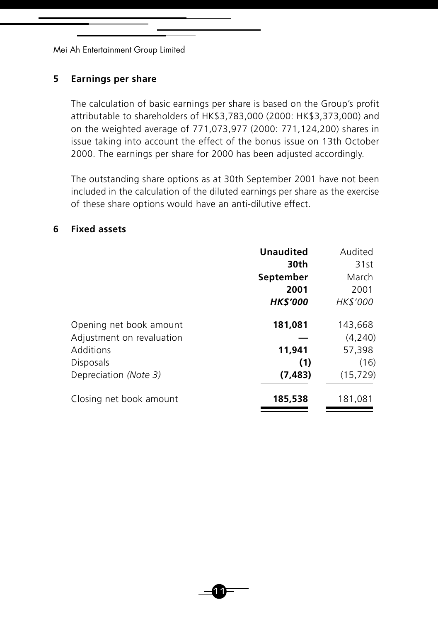### **5 Earnings per share**

The calculation of basic earnings per share is based on the Group's profit attributable to shareholders of HK\$3,783,000 (2000: HK\$3,373,000) and on the weighted average of 771,073,977 (2000: 771,124,200) shares in issue taking into account the effect of the bonus issue on 13th October 2000. The earnings per share for 2000 has been adjusted accordingly.

The outstanding share options as at 30th September 2001 have not been included in the calculation of the diluted earnings per share as the exercise of these share options would have an anti-dilutive effect.

#### **6 Fixed assets**

|                           | <b>Unaudited</b> | Audited         |
|---------------------------|------------------|-----------------|
|                           | 30th             | 31st            |
|                           | September        | March           |
|                           | 2001             | 2001            |
|                           | <b>HK\$'000</b>  | <i>HK\$'000</i> |
| Opening net book amount   | 181,081          | 143,668         |
| Adjustment on revaluation |                  | (4,240)         |
| Additions                 | 11,941           | 57,398          |
| Disposals                 | (1)              | (16)            |
| Depreciation (Note 3)     | (7, 483)         | (15, 729)       |
| Closing net book amount   | 185,538          | 181,081         |

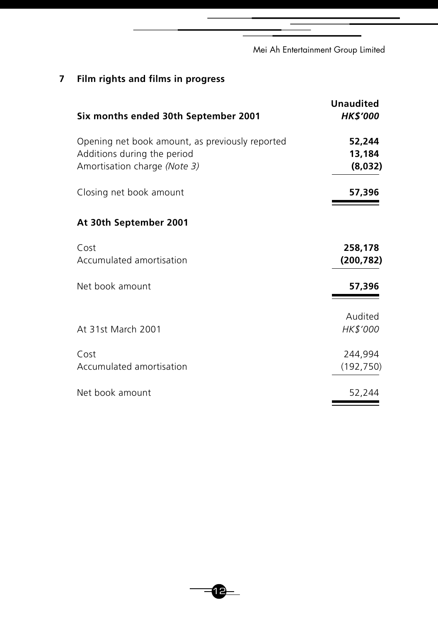# **7 Film rights and films in progress**

| Six months ended 30th September 2001            | <b>Unaudited</b><br><b>HK\$'000</b> |
|-------------------------------------------------|-------------------------------------|
| Opening net book amount, as previously reported | 52,244                              |
| Additions during the period                     | 13,184                              |
| Amortisation charge (Note 3)                    | (8,032)                             |
| Closing net book amount                         | 57,396                              |
| At 30th September 2001                          |                                     |
| Cost                                            | 258,178                             |
| Accumulated amortisation                        | (200, 782)                          |
| Net book amount                                 | 57,396                              |
|                                                 | Audited                             |
| At 31st March 2001                              | HK\$'000                            |
| Cost                                            | 244,994                             |
| Accumulated amortisation                        | (192, 750)                          |
| Net book amount                                 | 52,244                              |

 $-2$ 

÷,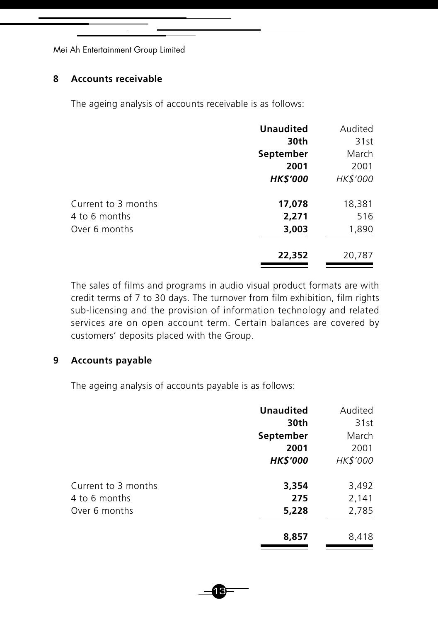### **8 Accounts receivable**

The ageing analysis of accounts receivable is as follows:

|                     | <b>Unaudited</b> | Audited  |
|---------------------|------------------|----------|
|                     | 30th             | 31st     |
|                     | September        | March    |
|                     | 2001             | 2001     |
|                     | <b>HK\$'000</b>  | HK\$'000 |
| Current to 3 months | 17,078           | 18,381   |
| 4 to 6 months       | 2,271            | 516      |
| Over 6 months       | 3,003            | 1,890    |
|                     | 22,352           | 20,787   |

The sales of films and programs in audio visual product formats are with credit terms of 7 to 30 days. The turnover from film exhibition, film rights sub-licensing and the provision of information technology and related services are on open account term. Certain balances are covered by customers' deposits placed with the Group.

### **9 Accounts payable**

The ageing analysis of accounts payable is as follows:

|                     | <b>Unaudited</b> | Audited  |
|---------------------|------------------|----------|
|                     | 30th             | 31st     |
|                     | September        | March    |
|                     | 2001             | 2001     |
|                     | <b>HK\$'000</b>  | HK\$'000 |
| Current to 3 months | 3,354            | 3,492    |
| 4 to 6 months       | 275              | 2,141    |
| Over 6 months       | 5,228            | 2,785    |
|                     | 8,857            | 8,418    |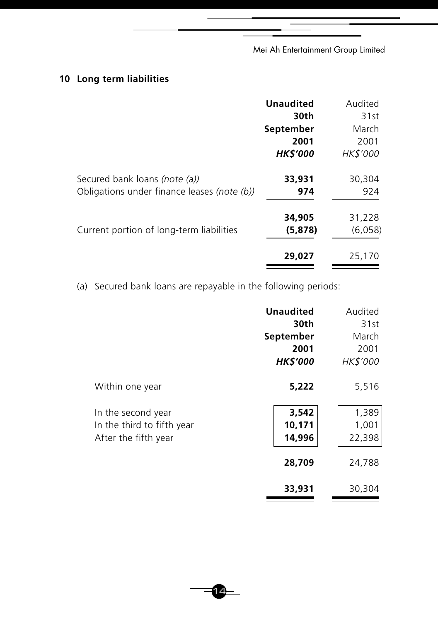# **10 Long term liabilities**

|                                             | <b>Unaudited</b> | Audited  |
|---------------------------------------------|------------------|----------|
|                                             | 30th             | 31st     |
|                                             | September        | March    |
|                                             | 2001             | 2001     |
|                                             | <b>HK\$'000</b>  | HK\$'000 |
| Secured bank loans (note (a))               | 33,931           | 30,304   |
| Obligations under finance leases (note (b)) | 974              | 924      |
|                                             | 34,905           | 31,228   |
| Current portion of long-term liabilities    | (5,878)          | (6,058)  |
|                                             | 29,027           | 25,170   |
|                                             |                  |          |

(a) Secured bank loans are repayable in the following periods:

|                            | <b>Unaudited</b> | Audited  |
|----------------------------|------------------|----------|
|                            | 30th             | 31st     |
|                            | September        | March    |
|                            | 2001             | 2001     |
|                            | <b>HK\$'000</b>  | HK\$'000 |
| Within one year            | 5,222            | 5,516    |
| In the second year         | 3,542            | 1,389    |
| In the third to fifth year | 10,171           | 1,001    |
| After the fifth year       | 14,996           | 22,398   |
|                            | 28,709           | 24,788   |
|                            | 33,931           | 30,304   |

 $= 14$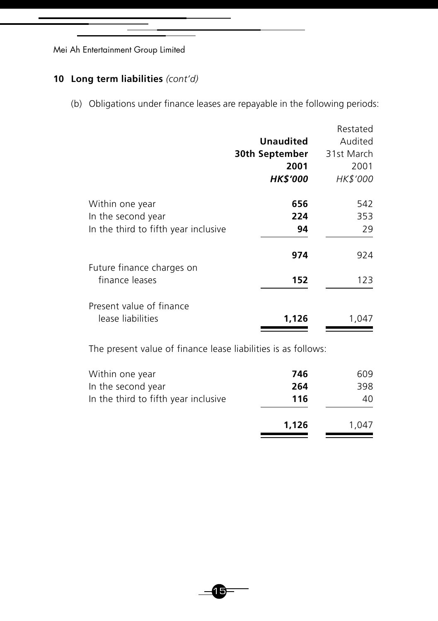# **10 Long term liabilities** *(cont'd)*

(b) Obligations under finance leases are repayable in the following periods:

|                                             |                  | Restated   |
|---------------------------------------------|------------------|------------|
|                                             | <b>Unaudited</b> | Audited    |
|                                             | 30th September   | 31st March |
|                                             | 2001             | 2001       |
|                                             | <b>HK\$'000</b>  | HK\$'000   |
| Within one year                             | 656              | 542        |
| In the second year                          | 224              | 353        |
| In the third to fifth year inclusive        | 94               | 29         |
|                                             | 974              | 924        |
| Future finance charges on<br>finance leases | 152              | 123        |
| Present value of finance                    |                  |            |
| lease liabilities                           | 1,126            | 1.047      |

The present value of finance lease liabilities is as follows:

| Within one year                      | 746   | 609   |
|--------------------------------------|-------|-------|
| In the second year                   | 264   | 398   |
| In the third to fifth year inclusive | 116   | 40    |
|                                      | 1,126 | 1.047 |

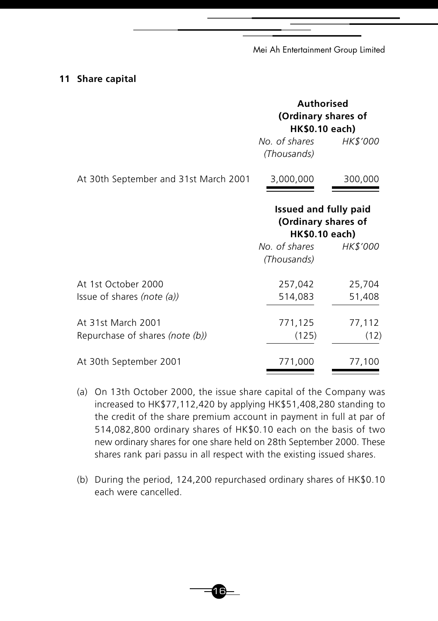#### **11 Share capital**

|                                                       | <b>Authorised</b><br>(Ordinary shares of<br><b>HK\$0.10 each)</b>            |                  |  |
|-------------------------------------------------------|------------------------------------------------------------------------------|------------------|--|
|                                                       | No. of shares<br>(Thousands)                                                 | <i>HK\$'000</i>  |  |
| At 30th September and 31st March 2001                 | 3,000,000                                                                    | 300,000          |  |
|                                                       | <b>Issued and fully paid</b><br>(Ordinary shares of<br><b>HK\$0.10 each)</b> |                  |  |
|                                                       | No. of shares<br>(Thousands)                                                 | <i>HK\$'000</i>  |  |
| At 1st October 2000<br>Issue of shares (note $(a)$ )  | 257,042<br>514,083                                                           | 25,704<br>51,408 |  |
| At 31st March 2001<br>Repurchase of shares (note (b)) | 771,125<br>(125)                                                             | 77,112<br>(12)   |  |
| At 30th September 2001                                | 771,000                                                                      | 77,100           |  |

- (a) On 13th October 2000, the issue share capital of the Company was increased to HK\$77,112,420 by applying HK\$51,408,280 standing to the credit of the share premium account in payment in full at par of 514,082,800 ordinary shares of HK\$0.10 each on the basis of two new ordinary shares for one share held on 28th September 2000. These shares rank pari passu in all respect with the existing issued shares.
- (b) During the period, 124,200 repurchased ordinary shares of HK\$0.10 each were cancelled.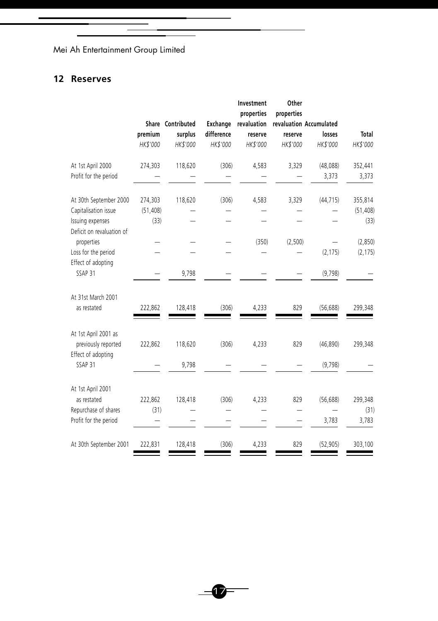# **12 Reserves**

|                                                                   | premium<br>HK\$'000 | Share Contributed<br>surplus<br>HK\$'000 | Exchange<br>difference<br>HK\$'000 | Investment<br>properties<br>revaluation<br>reserve<br>HK\$'000 | Other<br>properties<br>reserve<br>HK\$'000 | revaluation Accumulated<br>losses<br>HK\$'000 | <b>Total</b><br>HK\$'000 |
|-------------------------------------------------------------------|---------------------|------------------------------------------|------------------------------------|----------------------------------------------------------------|--------------------------------------------|-----------------------------------------------|--------------------------|
| At 1st April 2000                                                 | 274,303             | 118,620                                  | (306)                              | 4,583                                                          | 3,329                                      | (48, 088)                                     | 352,441                  |
| Profit for the period                                             |                     |                                          |                                    |                                                                |                                            | 3,373                                         | 3,373                    |
| At 30th September 2000                                            | 274,303             | 118,620                                  | (306)                              | 4,583                                                          | 3,329                                      | (44, 715)                                     | 355,814                  |
| Capitalisation issue                                              | (51, 408)           |                                          |                                    |                                                                |                                            |                                               | (51, 408)                |
| Issuing expenses<br>Deficit on revaluation of                     | (33)                |                                          |                                    |                                                                |                                            |                                               | (33)                     |
| properties                                                        |                     |                                          |                                    | (350)                                                          | (2,500)                                    |                                               | (2,850)                  |
| Loss for the period                                               |                     |                                          |                                    |                                                                |                                            | (2, 175)                                      | (2, 175)                 |
| Effect of adopting                                                |                     |                                          |                                    |                                                                |                                            |                                               |                          |
| SSAP <sub>31</sub>                                                |                     | 9,798                                    |                                    |                                                                |                                            | (9,798)                                       |                          |
| At 31st March 2001<br>as restated                                 | 222,862             | 128,418                                  | (306)                              | 4,233                                                          | 829                                        | (56, 688)                                     | 299,348                  |
| At 1st April 2001 as<br>previously reported<br>Effect of adopting | 222,862             | 118,620                                  | (306)                              | 4,233                                                          | 829                                        | (46, 890)                                     | 299,348                  |
| SSAP 31                                                           |                     | 9,798                                    |                                    |                                                                |                                            | (9,798)                                       |                          |
| At 1st April 2001                                                 |                     |                                          |                                    |                                                                |                                            |                                               |                          |
| as restated                                                       | 222,862             | 128,418                                  | (306)                              | 4,233                                                          | 829                                        | (56, 688)                                     | 299,348                  |
| Repurchase of shares                                              | (31)                |                                          |                                    |                                                                |                                            |                                               | (31)                     |
| Profit for the period                                             |                     |                                          |                                    |                                                                |                                            | 3,783                                         | 3,783                    |
| At 30th September 2001                                            | 222,831             | 128,418                                  | (306)                              | 4,233                                                          | 829                                        | (52, 905)                                     | 303,100                  |

Ξ

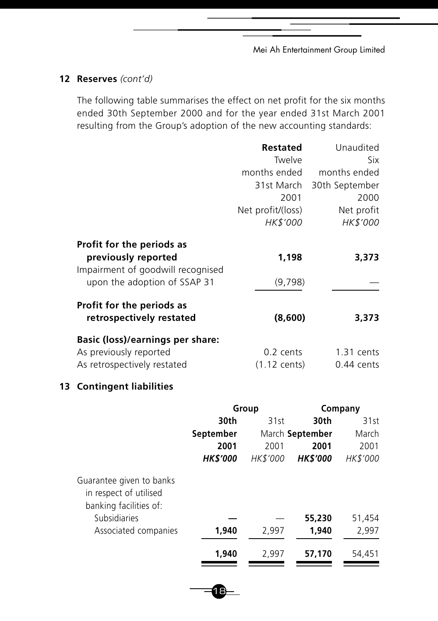# **12 Reserves** *(cont'd)*

The following table summarises the effect on net profit for the six months ended 30th September 2000 and for the year ended 31st March 2001 resulting from the Group's adoption of the new accounting standards:

|                                                                                                                       | <b>Restated</b><br>Twelve<br>months ended<br>31st March<br>2001<br>Net profit/(loss)<br><i>HK\$'000</i> | Unaudited<br>Six<br>months ended<br>30th September<br>2000<br>Net profit<br><i>HK\$'000</i> |
|-----------------------------------------------------------------------------------------------------------------------|---------------------------------------------------------------------------------------------------------|---------------------------------------------------------------------------------------------|
| Profit for the periods as<br>previously reported<br>Impairment of goodwill recognised<br>upon the adoption of SSAP 31 | 1,198<br>(9,798)                                                                                        | 3,373                                                                                       |
| Profit for the periods as<br>retrospectively restated                                                                 | (8,600)                                                                                                 | 3,373                                                                                       |
| Basic (loss)/earnings per share:<br>As previously reported<br>As retrospectively restated                             | $0.2$ cents<br>$(1.12 \text{ cents})$                                                                   | $1.31$ cents<br>$0.44$ cents                                                                |

# **13 Contingent liabilities**

|                                                                              | Group           |                 |                 | Company         |
|------------------------------------------------------------------------------|-----------------|-----------------|-----------------|-----------------|
|                                                                              | 30th            | 31st            | 30th            | 31st            |
|                                                                              | September       |                 | March September | March           |
|                                                                              | 2001            | 2001            | 2001            | 2001            |
|                                                                              | <b>HK\$'000</b> | <b>HK\$'000</b> | <b>HK\$'000</b> | <b>HK\$'000</b> |
| Guarantee given to banks<br>in respect of utilised<br>banking facilities of: |                 |                 |                 |                 |
| Subsidiaries                                                                 |                 |                 | 55,230          | 51,454          |
| Associated companies                                                         | 1,940           | 2,997           | 1,940           | 2,997           |
|                                                                              | 1,940           | 2.997           | 57,170          | 54.451          |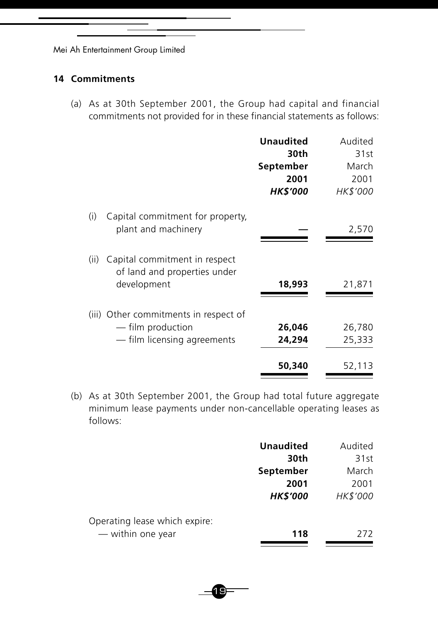### **14 Commitments**

(a) As at 30th September 2001, the Group had capital and financial commitments not provided for in these financial statements as follows:

|      |                                                                                           | <b>Unaudited</b><br>30th<br>September<br>2001<br><b>HK\$'000</b> | Audited<br>31st<br>March<br>2001<br><i>HK\$'000</i> |
|------|-------------------------------------------------------------------------------------------|------------------------------------------------------------------|-----------------------------------------------------|
| (i)  | Capital commitment for property,<br>plant and machinery                                   |                                                                  | 2,570                                               |
| (ii) | Capital commitment in respect<br>of land and properties under<br>development              | 18,993                                                           | 21,871                                              |
|      | (iii) Other commitments in respect of<br>— film production<br>- film licensing agreements | 26,046<br>24,294                                                 | 26,780<br>25,333                                    |
|      |                                                                                           | 50,340                                                           | 52,113                                              |

(b) As at 30th September 2001, the Group had total future aggregate minimum lease payments under non-cancellable operating leases as follows:

|                               | <b>Unaudited</b> | Audited  |
|-------------------------------|------------------|----------|
|                               | 30th             | 31st     |
|                               | September        | March    |
|                               | 2001             | 2001     |
|                               | <b>HK\$'000</b>  | HK\$'000 |
| Operating lease which expire: |                  |          |
| — within one year             | 118              | 272      |
|                               |                  |          |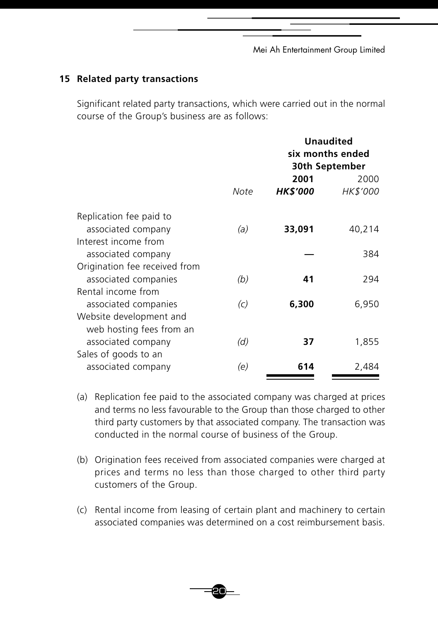### **15 Related party transactions**

Significant related party transactions, which were carried out in the normal course of the Group's business are as follows:

|                               |                   |                         | <b>Unaudited</b><br>six months ended<br>30th September |
|-------------------------------|-------------------|-------------------------|--------------------------------------------------------|
|                               | Note              | 2001<br><b>HK\$'000</b> | 2000<br><b>HK\$'000</b>                                |
| Replication fee paid to       |                   |                         |                                                        |
| associated company            | (a)               | 33,091                  | 40,214                                                 |
| Interest income from          |                   |                         |                                                        |
| associated company            |                   |                         | 384                                                    |
| Origination fee received from |                   |                         |                                                        |
| associated companies          | (b)               | 41                      | 294                                                    |
| Rental income from            |                   |                         |                                                        |
| associated companies          | $\left( c\right)$ | 6,300                   | 6,950                                                  |
| Website development and       |                   |                         |                                                        |
| web hosting fees from an      |                   |                         |                                                        |
| associated company            | (d)               | 37                      | 1,855                                                  |
| Sales of goods to an          |                   |                         |                                                        |
| associated company            | (e)               | 614                     | 2,484                                                  |

- (a) Replication fee paid to the associated company was charged at prices and terms no less favourable to the Group than those charged to other third party customers by that associated company. The transaction was conducted in the normal course of business of the Group.
- (b) Origination fees received from associated companies were charged at prices and terms no less than those charged to other third party customers of the Group.
- (c) Rental income from leasing of certain plant and machinery to certain associated companies was determined on a cost reimbursement basis.

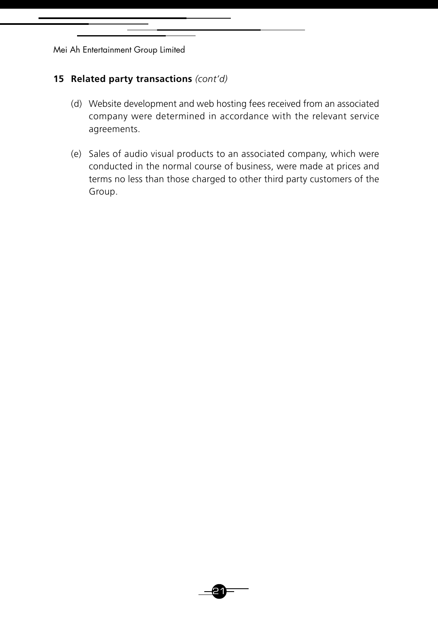### **15 Related party transactions** *(cont'd)*

- (d) Website development and web hosting fees received from an associated company were determined in accordance with the relevant service agreements.
- (e) Sales of audio visual products to an associated company, which were conducted in the normal course of business, were made at prices and terms no less than those charged to other third party customers of the Group.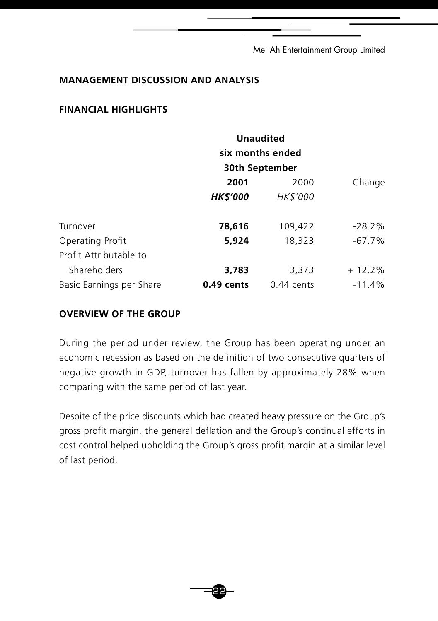### **MANAGEMENT DISCUSSION AND ANALYSIS**

### **FINANCIAL HIGHLIGHTS**

|                          | <b>Unaudited</b> |                  |           |
|--------------------------|------------------|------------------|-----------|
|                          |                  | six months ended |           |
|                          |                  | 30th September   |           |
|                          | 2001             | 2000             | Change    |
|                          | <b>HK\$'000</b>  | HK\$'000         |           |
| Turnover                 | 78,616           | 109,422          | $-28.2\%$ |
| Operating Profit         | 5,924            | 18,323           | $-67.7\%$ |
| Profit Attributable to   |                  |                  |           |
| Shareholders             | 3,783            | 3,373            | $+12.2\%$ |
| Basic Earnings per Share | $0.49$ cents     | $0.44$ cents     | $-11.4%$  |

# **OVERVIEW OF THE GROUP**

During the period under review, the Group has been operating under an economic recession as based on the definition of two consecutive quarters of negative growth in GDP, turnover has fallen by approximately 28% when comparing with the same period of last year.

Despite of the price discounts which had created heavy pressure on the Group's gross profit margin, the general deflation and the Group's continual efforts in cost control helped upholding the Group's gross profit margin at a similar level of last period.

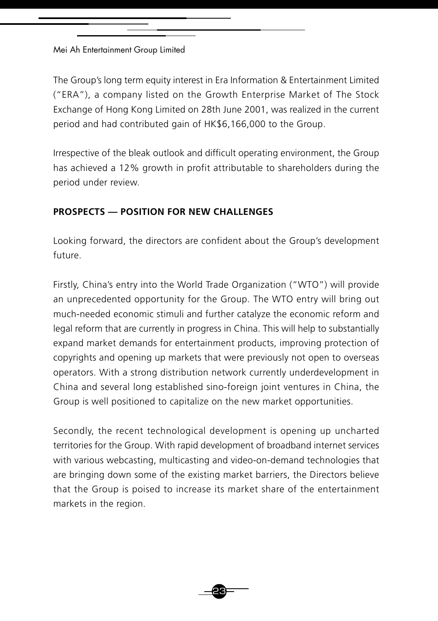The Group's long term equity interest in Era Information & Entertainment Limited ("ERA"), a company listed on the Growth Enterprise Market of The Stock Exchange of Hong Kong Limited on 28th June 2001, was realized in the current period and had contributed gain of HK\$6,166,000 to the Group.

Irrespective of the bleak outlook and difficult operating environment, the Group has achieved a 12% growth in profit attributable to shareholders during the period under review.

# **PROSPECTS — POSITION FOR NEW CHALLENGES**

Looking forward, the directors are confident about the Group's development future.

Firstly, China's entry into the World Trade Organization ("WTO") will provide an unprecedented opportunity for the Group. The WTO entry will bring out much-needed economic stimuli and further catalyze the economic reform and legal reform that are currently in progress in China. This will help to substantially expand market demands for entertainment products, improving protection of copyrights and opening up markets that were previously not open to overseas operators. With a strong distribution network currently underdevelopment in China and several long established sino-foreign joint ventures in China, the Group is well positioned to capitalize on the new market opportunities.

Secondly, the recent technological development is opening up uncharted territories for the Group. With rapid development of broadband internet services with various webcasting, multicasting and video-on-demand technologies that are bringing down some of the existing market barriers, the Directors believe that the Group is poised to increase its market share of the entertainment markets in the region.

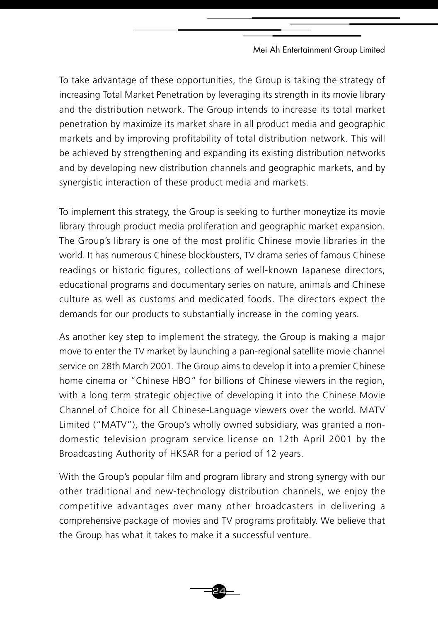To take advantage of these opportunities, the Group is taking the strategy of increasing Total Market Penetration by leveraging its strength in its movie library and the distribution network. The Group intends to increase its total market penetration by maximize its market share in all product media and geographic markets and by improving profitability of total distribution network. This will be achieved by strengthening and expanding its existing distribution networks and by developing new distribution channels and geographic markets, and by synergistic interaction of these product media and markets.

To implement this strategy, the Group is seeking to further moneytize its movie library through product media proliferation and geographic market expansion. The Group's library is one of the most prolific Chinese movie libraries in the world. It has numerous Chinese blockbusters, TV drama series of famous Chinese readings or historic figures, collections of well-known Japanese directors, educational programs and documentary series on nature, animals and Chinese culture as well as customs and medicated foods. The directors expect the demands for our products to substantially increase in the coming years.

As another key step to implement the strategy, the Group is making a major move to enter the TV market by launching a pan-regional satellite movie channel service on 28th March 2001. The Group aims to develop it into a premier Chinese home cinema or "Chinese HBO" for billions of Chinese viewers in the region, with a long term strategic objective of developing it into the Chinese Movie Channel of Choice for all Chinese-Language viewers over the world. MATV Limited ("MATV"), the Group's wholly owned subsidiary, was granted a nondomestic television program service license on 12th April 2001 by the Broadcasting Authority of HKSAR for a period of 12 years.

With the Group's popular film and program library and strong synergy with our other traditional and new-technology distribution channels, we enjoy the competitive advantages over many other broadcasters in delivering a comprehensive package of movies and TV programs profitably. We believe that the Group has what it takes to make it a successful venture.

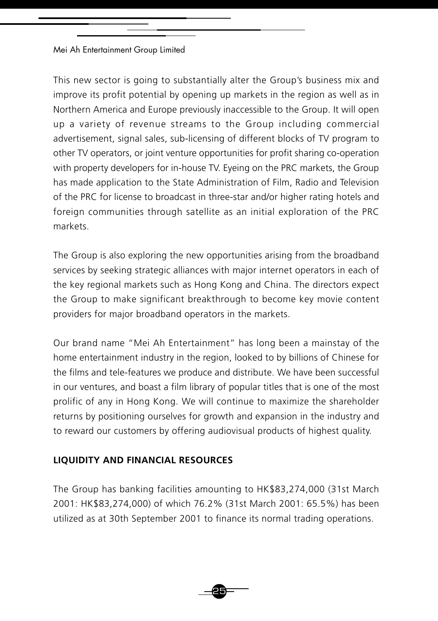This new sector is going to substantially alter the Group's business mix and improve its profit potential by opening up markets in the region as well as in Northern America and Europe previously inaccessible to the Group. It will open up a variety of revenue streams to the Group including commercial advertisement, signal sales, sub-licensing of different blocks of TV program to other TV operators, or joint venture opportunities for profit sharing co-operation with property developers for in-house TV. Eyeing on the PRC markets, the Group has made application to the State Administration of Film, Radio and Television of the PRC for license to broadcast in three-star and/or higher rating hotels and foreign communities through satellite as an initial exploration of the PRC markets.

The Group is also exploring the new opportunities arising from the broadband services by seeking strategic alliances with major internet operators in each of the key regional markets such as Hong Kong and China. The directors expect the Group to make significant breakthrough to become key movie content providers for major broadband operators in the markets.

Our brand name "Mei Ah Entertainment" has long been a mainstay of the home entertainment industry in the region, looked to by billions of Chinese for the films and tele-features we produce and distribute. We have been successful in our ventures, and boast a film library of popular titles that is one of the most prolific of any in Hong Kong. We will continue to maximize the shareholder returns by positioning ourselves for growth and expansion in the industry and to reward our customers by offering audiovisual products of highest quality.

# **LIQUIDITY AND FINANCIAL RESOURCES**

The Group has banking facilities amounting to HK\$83,274,000 (31st March 2001: HK\$83,274,000) of which 76.2% (31st March 2001: 65.5%) has been utilized as at 30th September 2001 to finance its normal trading operations.

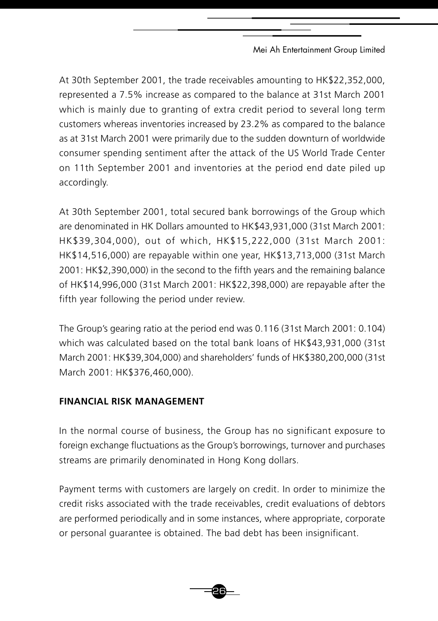At 30th September 2001, the trade receivables amounting to HK\$22,352,000, represented a 7.5% increase as compared to the balance at 31st March 2001 which is mainly due to granting of extra credit period to several long term customers whereas inventories increased by 23.2% as compared to the balance as at 31st March 2001 were primarily due to the sudden downturn of worldwide consumer spending sentiment after the attack of the US World Trade Center on 11th September 2001 and inventories at the period end date piled up accordingly.

At 30th September 2001, total secured bank borrowings of the Group which are denominated in HK Dollars amounted to HK\$43,931,000 (31st March 2001: HK\$39,304,000), out of which, HK\$15,222,000 (31st March 2001: HK\$14,516,000) are repayable within one year, HK\$13,713,000 (31st March 2001: HK\$2,390,000) in the second to the fifth years and the remaining balance of HK\$14,996,000 (31st March 2001: HK\$22,398,000) are repayable after the fifth year following the period under review.

The Group's gearing ratio at the period end was 0.116 (31st March 2001: 0.104) which was calculated based on the total bank loans of HK\$43,931,000 (31st March 2001: HK\$39,304,000) and shareholders' funds of HK\$380,200,000 (31st March 2001: HK\$376,460,000).

# **FINANCIAL RISK MANAGEMENT**

In the normal course of business, the Group has no significant exposure to foreign exchange fluctuations as the Group's borrowings, turnover and purchases streams are primarily denominated in Hong Kong dollars.

Payment terms with customers are largely on credit. In order to minimize the credit risks associated with the trade receivables, credit evaluations of debtors are performed periodically and in some instances, where appropriate, corporate or personal guarantee is obtained. The bad debt has been insignificant.

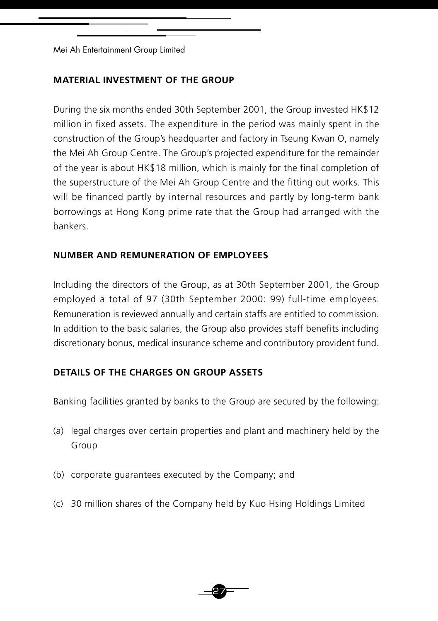### **MATERIAL INVESTMENT OF THE GROUP**

During the six months ended 30th September 2001, the Group invested HK\$12 million in fixed assets. The expenditure in the period was mainly spent in the construction of the Group's headquarter and factory in Tseung Kwan O, namely the Mei Ah Group Centre. The Group's projected expenditure for the remainder of the year is about HK\$18 million, which is mainly for the final completion of the superstructure of the Mei Ah Group Centre and the fitting out works. This will be financed partly by internal resources and partly by long-term bank borrowings at Hong Kong prime rate that the Group had arranged with the bankers.

### **NUMBER AND REMUNERATION OF EMPLOYEES**

Including the directors of the Group, as at 30th September 2001, the Group employed a total of 97 (30th September 2000: 99) full-time employees. Remuneration is reviewed annually and certain staffs are entitled to commission. In addition to the basic salaries, the Group also provides staff benefits including discretionary bonus, medical insurance scheme and contributory provident fund.

# **DETAILS OF THE CHARGES ON GROUP ASSETS**

Banking facilities granted by banks to the Group are secured by the following:

- (a) legal charges over certain properties and plant and machinery held by the Group
- (b) corporate guarantees executed by the Company; and
- (c) 30 million shares of the Company held by Kuo Hsing Holdings Limited

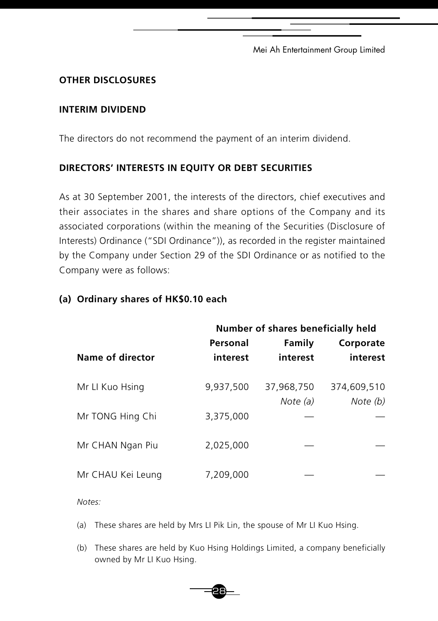# **OTHER DISCLOSURES**

### **INTERIM DIVIDEND**

The directors do not recommend the payment of an interim dividend.

# **DIRECTORS' INTERESTS IN EQUITY OR DEBT SECURITIES**

As at 30 September 2001, the interests of the directors, chief executives and their associates in the shares and share options of the Company and its associated corporations (within the meaning of the Securities (Disclosure of Interests) Ordinance ("SDI Ordinance")), as recorded in the register maintained by the Company under Section 29 of the SDI Ordinance or as notified to the Company were as follows:

|                   | Number of shares beneficially held |            |             |
|-------------------|------------------------------------|------------|-------------|
|                   | Personal                           | Family     | Corporate   |
| Name of director  | interest                           | interest   | interest    |
|                   |                                    |            |             |
| Mr LI Kuo Hsing   | 9,937,500                          | 37,968,750 | 374,609,510 |
|                   |                                    | Note (a)   | Note (b)    |
| Mr TONG Hing Chi  | 3.375.000                          |            |             |
|                   |                                    |            |             |
| Mr CHAN Ngan Piu  | 2.025.000                          |            |             |
|                   |                                    |            |             |
| Mr CHAU Kei Leung | 7.209.000                          |            |             |
|                   |                                    |            |             |

### **(a) Ordinary shares of HK\$0.10 each**

*Notes:*

(a) These shares are held by Mrs LI Pik Lin, the spouse of Mr LI Kuo Hsing.

28

(b) These shares are held by Kuo Hsing Holdings Limited, a company beneficially owned by Mr LI Kuo Hsing.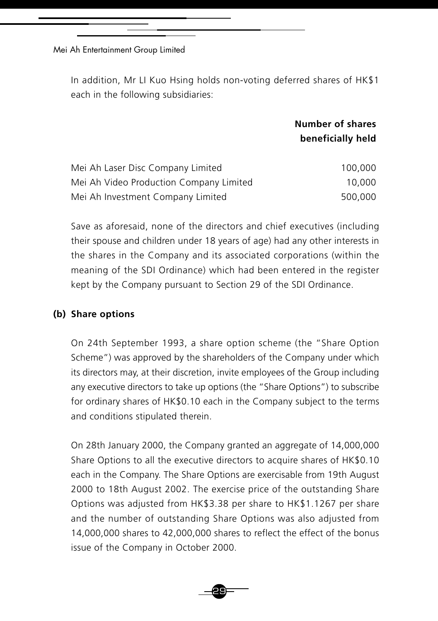In addition, Mr LI Kuo Hsing holds non-voting deferred shares of HK\$1 each in the following subsidiaries:

# **Number of shares beneficially held**

| Mei Ah Laser Disc Company Limited       | 100.000 |
|-----------------------------------------|---------|
| Mei Ah Video Production Company Limited | 10.000  |
| Mei Ah Investment Company Limited       | 500.000 |

Save as aforesaid, none of the directors and chief executives (including their spouse and children under 18 years of age) had any other interests in the shares in the Company and its associated corporations (within the meaning of the SDI Ordinance) which had been entered in the register kept by the Company pursuant to Section 29 of the SDI Ordinance.

### **(b) Share options**

On 24th September 1993, a share option scheme (the "Share Option Scheme") was approved by the shareholders of the Company under which its directors may, at their discretion, invite employees of the Group including any executive directors to take up options (the "Share Options") to subscribe for ordinary shares of HK\$0.10 each in the Company subject to the terms and conditions stipulated therein.

On 28th January 2000, the Company granted an aggregate of 14,000,000 Share Options to all the executive directors to acquire shares of HK\$0.10 each in the Company. The Share Options are exercisable from 19th August 2000 to 18th August 2002. The exercise price of the outstanding Share Options was adjusted from HK\$3.38 per share to HK\$1.1267 per share and the number of outstanding Share Options was also adjusted from 14,000,000 shares to 42,000,000 shares to reflect the effect of the bonus issue of the Company in October 2000.

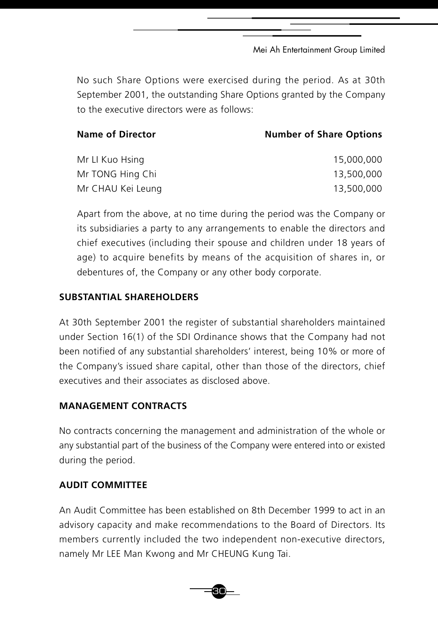No such Share Options were exercised during the period. As at 30th September 2001, the outstanding Share Options granted by the Company to the executive directors were as follows:

| <b>Name of Director</b> | <b>Number of Share Options</b> |
|-------------------------|--------------------------------|
| Mr LI Kuo Hsing         | 15,000,000                     |
| Mr TONG Hing Chi        | 13,500,000                     |
| Mr CHAU Kei Leung       | 13,500,000                     |

Apart from the above, at no time during the period was the Company or its subsidiaries a party to any arrangements to enable the directors and chief executives (including their spouse and children under 18 years of age) to acquire benefits by means of the acquisition of shares in, or debentures of, the Company or any other body corporate.

# **SUBSTANTIAL SHAREHOLDERS**

At 30th September 2001 the register of substantial shareholders maintained under Section 16(1) of the SDI Ordinance shows that the Company had not been notified of any substantial shareholders' interest, being 10% or more of the Company's issued share capital, other than those of the directors, chief executives and their associates as disclosed above.

# **MANAGEMENT CONTRACTS**

No contracts concerning the management and administration of the whole or any substantial part of the business of the Company were entered into or existed during the period.

# **AUDIT COMMITTEE**

An Audit Committee has been established on 8th December 1999 to act in an advisory capacity and make recommendations to the Board of Directors. Its members currently included the two independent non-executive directors, namely Mr LEE Man Kwong and Mr CHEUNG Kung Tai.